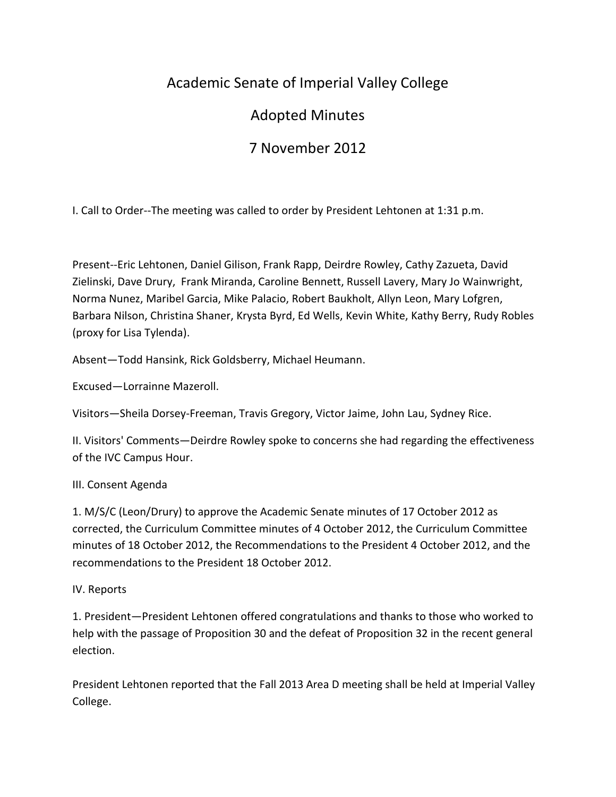# Academic Senate of Imperial Valley College

# Adopted Minutes

# 7 November 2012

I. Call to Order--The meeting was called to order by President Lehtonen at 1:31 p.m.

Present--Eric Lehtonen, Daniel Gilison, Frank Rapp, Deirdre Rowley, Cathy Zazueta, David Zielinski, Dave Drury, Frank Miranda, Caroline Bennett, Russell Lavery, Mary Jo Wainwright, Norma Nunez, Maribel Garcia, Mike Palacio, Robert Baukholt, Allyn Leon, Mary Lofgren, Barbara Nilson, Christina Shaner, Krysta Byrd, Ed Wells, Kevin White, Kathy Berry, Rudy Robles (proxy for Lisa Tylenda).

Absent—Todd Hansink, Rick Goldsberry, Michael Heumann.

Excused—Lorrainne Mazeroll.

Visitors—Sheila Dorsey-Freeman, Travis Gregory, Victor Jaime, John Lau, Sydney Rice.

II. Visitors' Comments—Deirdre Rowley spoke to concerns she had regarding the effectiveness of the IVC Campus Hour.

## III. Consent Agenda

1. M/S/C (Leon/Drury) to approve the Academic Senate minutes of 17 October 2012 as corrected, the Curriculum Committee minutes of 4 October 2012, the Curriculum Committee minutes of 18 October 2012, the Recommendations to the President 4 October 2012, and the recommendations to the President 18 October 2012.

IV. Reports

1. President—President Lehtonen offered congratulations and thanks to those who worked to help with the passage of Proposition 30 and the defeat of Proposition 32 in the recent general election.

President Lehtonen reported that the Fall 2013 Area D meeting shall be held at Imperial Valley College.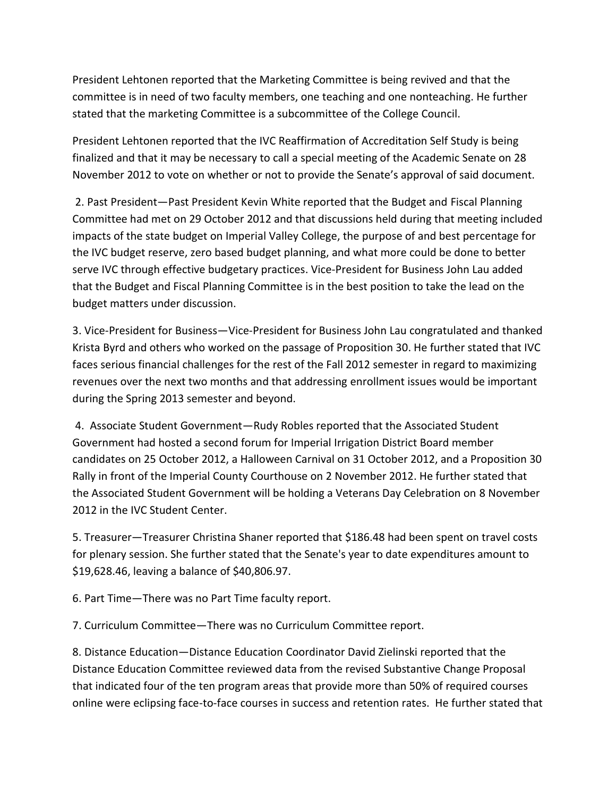President Lehtonen reported that the Marketing Committee is being revived and that the committee is in need of two faculty members, one teaching and one nonteaching. He further stated that the marketing Committee is a subcommittee of the College Council.

President Lehtonen reported that the IVC Reaffirmation of Accreditation Self Study is being finalized and that it may be necessary to call a special meeting of the Academic Senate on 28 November 2012 to vote on whether or not to provide the Senate's approval of said document.

2. Past President—Past President Kevin White reported that the Budget and Fiscal Planning Committee had met on 29 October 2012 and that discussions held during that meeting included impacts of the state budget on Imperial Valley College, the purpose of and best percentage for the IVC budget reserve, zero based budget planning, and what more could be done to better serve IVC through effective budgetary practices. Vice-President for Business John Lau added that the Budget and Fiscal Planning Committee is in the best position to take the lead on the budget matters under discussion.

3. Vice-President for Business—Vice-President for Business John Lau congratulated and thanked Krista Byrd and others who worked on the passage of Proposition 30. He further stated that IVC faces serious financial challenges for the rest of the Fall 2012 semester in regard to maximizing revenues over the next two months and that addressing enrollment issues would be important during the Spring 2013 semester and beyond.

4. Associate Student Government—Rudy Robles reported that the Associated Student Government had hosted a second forum for Imperial Irrigation District Board member candidates on 25 October 2012, a Halloween Carnival on 31 October 2012, and a Proposition 30 Rally in front of the Imperial County Courthouse on 2 November 2012. He further stated that the Associated Student Government will be holding a Veterans Day Celebration on 8 November 2012 in the IVC Student Center.

5. Treasurer—Treasurer Christina Shaner reported that \$186.48 had been spent on travel costs for plenary session. She further stated that the Senate's year to date expenditures amount to \$19,628.46, leaving a balance of \$40,806.97.

6. Part Time—There was no Part Time faculty report.

7. Curriculum Committee—There was no Curriculum Committee report.

8. Distance Education—Distance Education Coordinator David Zielinski reported that the Distance Education Committee reviewed data from the revised Substantive Change Proposal that indicated four of the ten program areas that provide more than 50% of required courses online were eclipsing face-to-face courses in success and retention rates. He further stated that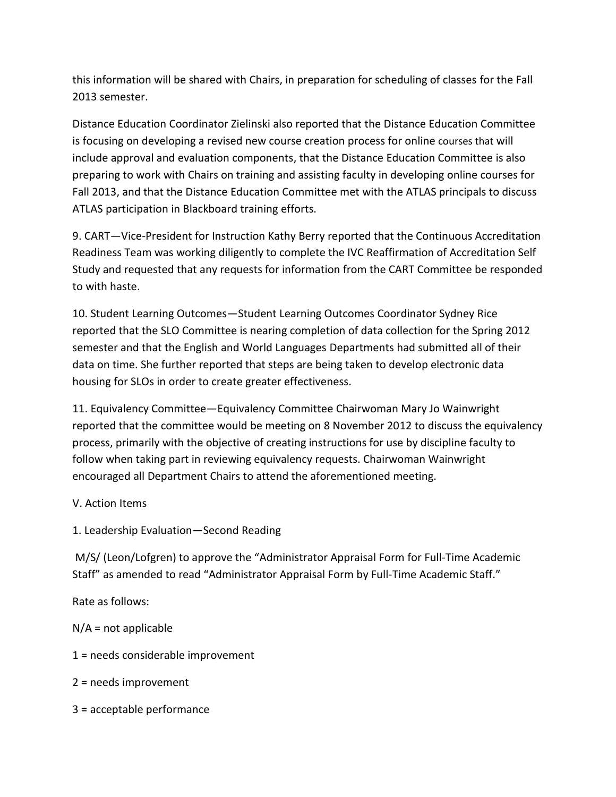this information will be shared with Chairs, in preparation for scheduling of classes for the Fall 2013 semester.

Distance Education Coordinator Zielinski also reported that the Distance Education Committee is focusing on developing a revised new course creation process for online courses that will include approval and evaluation components, that the Distance Education Committee is also preparing to work with Chairs on training and assisting faculty in developing online courses for Fall 2013, and that the Distance Education Committee met with the ATLAS principals to discuss ATLAS participation in Blackboard training efforts.

9. CART—Vice-President for Instruction Kathy Berry reported that the Continuous Accreditation Readiness Team was working diligently to complete the IVC Reaffirmation of Accreditation Self Study and requested that any requests for information from the CART Committee be responded to with haste.

10. Student Learning Outcomes—Student Learning Outcomes Coordinator Sydney Rice reported that the SLO Committee is nearing completion of data collection for the Spring 2012 semester and that the English and World Languages Departments had submitted all of their data on time. She further reported that steps are being taken to develop electronic data housing for SLOs in order to create greater effectiveness.

11. Equivalency Committee—Equivalency Committee Chairwoman Mary Jo Wainwright reported that the committee would be meeting on 8 November 2012 to discuss the equivalency process, primarily with the objective of creating instructions for use by discipline faculty to follow when taking part in reviewing equivalency requests. Chairwoman Wainwright encouraged all Department Chairs to attend the aforementioned meeting.

### V. Action Items

1. Leadership Evaluation—Second Reading

M/S/ (Leon/Lofgren) to approve the "Administrator Appraisal Form for Full-Time Academic Staff" as amended to read "Administrator Appraisal Form by Full-Time Academic Staff."

Rate as follows:

 $N/A$  = not applicable

1 = needs considerable improvement

2 = needs improvement

3 = acceptable performance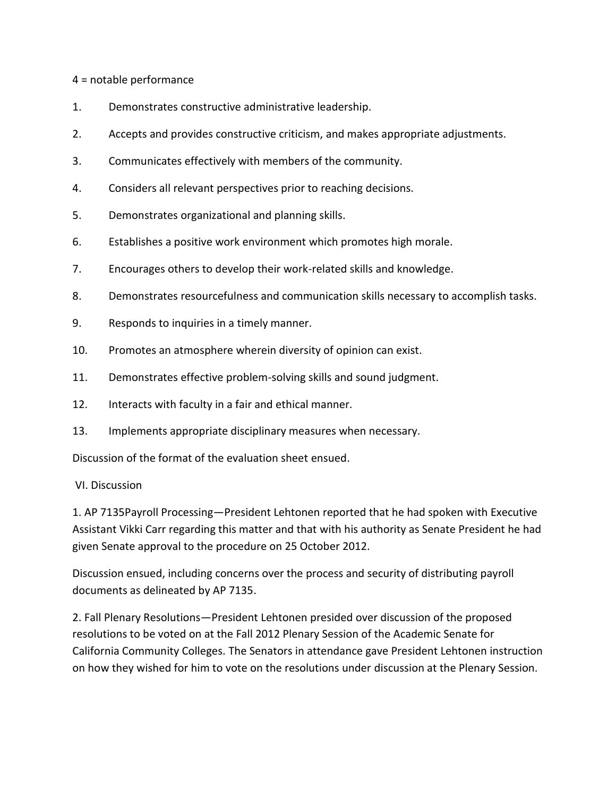#### 4 = notable performance

- 1. Demonstrates constructive administrative leadership.
- 2. Accepts and provides constructive criticism, and makes appropriate adjustments.
- 3. Communicates effectively with members of the community.
- 4. Considers all relevant perspectives prior to reaching decisions.
- 5. Demonstrates organizational and planning skills.
- 6. Establishes a positive work environment which promotes high morale.
- 7. Encourages others to develop their work-related skills and knowledge.
- 8. Demonstrates resourcefulness and communication skills necessary to accomplish tasks.
- 9. Responds to inquiries in a timely manner.
- 10. Promotes an atmosphere wherein diversity of opinion can exist.
- 11. Demonstrates effective problem-solving skills and sound judgment.
- 12. Interacts with faculty in a fair and ethical manner.
- 13. Implements appropriate disciplinary measures when necessary.

Discussion of the format of the evaluation sheet ensued.

### VI. Discussion

1. AP 7135Payroll Processing—President Lehtonen reported that he had spoken with Executive Assistant Vikki Carr regarding this matter and that with his authority as Senate President he had given Senate approval to the procedure on 25 October 2012.

Discussion ensued, including concerns over the process and security of distributing payroll documents as delineated by AP 7135.

2. Fall Plenary Resolutions—President Lehtonen presided over discussion of the proposed resolutions to be voted on at the Fall 2012 Plenary Session of the Academic Senate for California Community Colleges. The Senators in attendance gave President Lehtonen instruction on how they wished for him to vote on the resolutions under discussion at the Plenary Session.